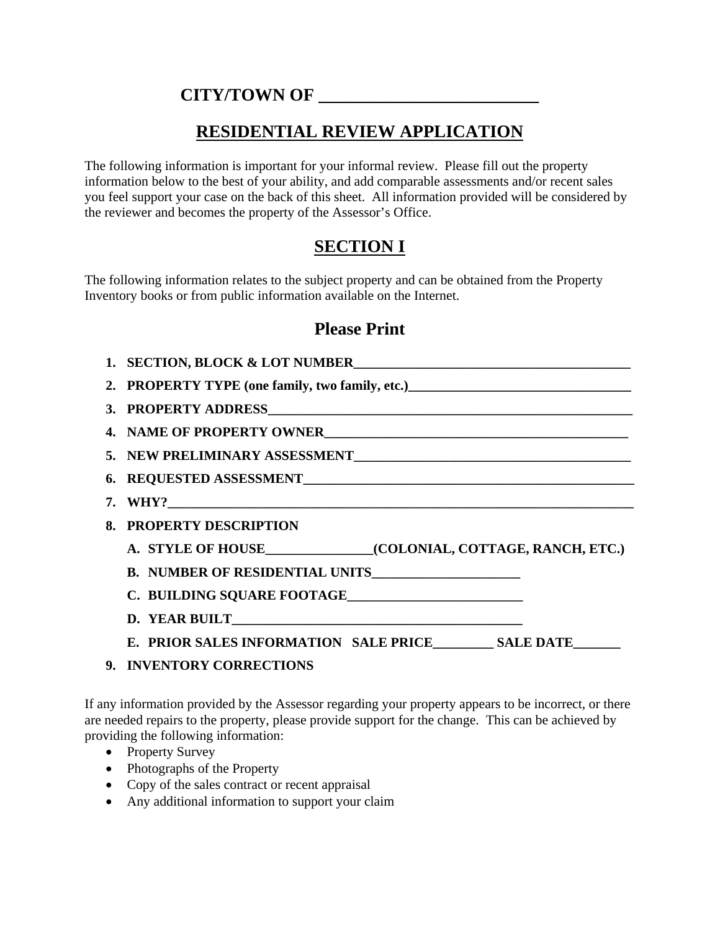#### **CITY/TOWN OF \_\_\_\_\_\_\_\_\_\_\_\_\_\_\_\_\_\_\_\_\_\_\_\_\_**

### **RESIDENTIAL REVIEW APPLICATION**

The following information is important for your informal review. Please fill out the property information below to the best of your ability, and add comparable assessments and/or recent sales you feel support your case on the back of this sheet. All information provided will be considered by the reviewer and becomes the property of the Assessor's Office.

# **SECTION I**

The following information relates to the subject property and can be obtained from the Property Inventory books or from public information available on the Internet.

#### **Please Print**

| 1. SECTION, BLOCK & LOT NUMBER                                                                                                                                                                                                         |  |  |
|----------------------------------------------------------------------------------------------------------------------------------------------------------------------------------------------------------------------------------------|--|--|
| 2. PROPERTY TYPE (one family, two family, etc.)<br><u>Letting and the substitute of the substitute of the substitute of the substitute of the substitute of the substitute of the substitute of the substitute of the substitute o</u> |  |  |
|                                                                                                                                                                                                                                        |  |  |
|                                                                                                                                                                                                                                        |  |  |
|                                                                                                                                                                                                                                        |  |  |
|                                                                                                                                                                                                                                        |  |  |
|                                                                                                                                                                                                                                        |  |  |
| 8. PROPERTY DESCRIPTION                                                                                                                                                                                                                |  |  |
| A. STYLE OF HOUSE (COLONIAL, COTTAGE, RANCH, ETC.)                                                                                                                                                                                     |  |  |
|                                                                                                                                                                                                                                        |  |  |
|                                                                                                                                                                                                                                        |  |  |
|                                                                                                                                                                                                                                        |  |  |
| E. PRIOR SALES INFORMATION SALE PRICE_________ SALE DATE______                                                                                                                                                                         |  |  |
| 9. INVENTORY CORRECTIONS                                                                                                                                                                                                               |  |  |

If any information provided by the Assessor regarding your property appears to be incorrect, or there are needed repairs to the property, please provide support for the change. This can be achieved by providing the following information:

- Property Survey
- Photographs of the Property
- Copy of the sales contract or recent appraisal
- Any additional information to support your claim